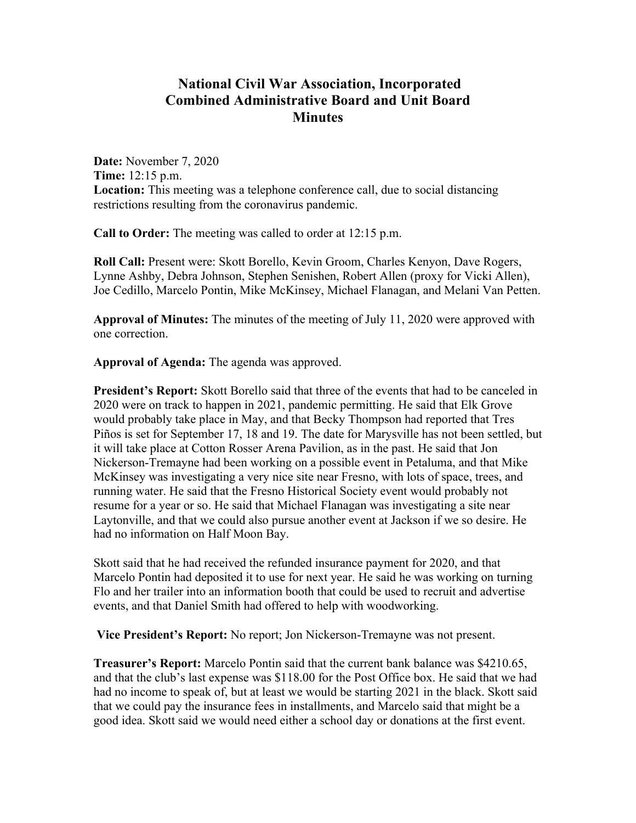## **National Civil War Association, Incorporated Combined Administrative Board and Unit Board Minutes**

**Date:** November 7, 2020 **Time:** 12:15 p.m. **Location:** This meeting was a telephone conference call, due to social distancing restrictions resulting from the coronavirus pandemic.

**Call to Order:** The meeting was called to order at 12:15 p.m.

**Roll Call:** Present were: Skott Borello, Kevin Groom, Charles Kenyon, Dave Rogers, Lynne Ashby, Debra Johnson, Stephen Senishen, Robert Allen (proxy for Vicki Allen), Joe Cedillo, Marcelo Pontin, Mike McKinsey, Michael Flanagan, and Melani Van Petten.

**Approval of Minutes:** The minutes of the meeting of July 11, 2020 were approved with one correction.

**Approval of Agenda:** The agenda was approved.

**President's Report:** Skott Borello said that three of the events that had to be canceled in 2020 were on track to happen in 2021, pandemic permitting. He said that Elk Grove would probably take place in May, and that Becky Thompson had reported that Tres Piños is set for September 17, 18 and 19. The date for Marysville has not been settled, but it will take place at Cotton Rosser Arena Pavilion, as in the past. He said that Jon Nickerson-Tremayne had been working on a possible event in Petaluma, and that Mike McKinsey was investigating a very nice site near Fresno, with lots of space, trees, and running water. He said that the Fresno Historical Society event would probably not resume for a year or so. He said that Michael Flanagan was investigating a site near Laytonville, and that we could also pursue another event at Jackson if we so desire. He had no information on Half Moon Bay.

Skott said that he had received the refunded insurance payment for 2020, and that Marcelo Pontin had deposited it to use for next year. He said he was working on turning Flo and her trailer into an information booth that could be used to recruit and advertise events, and that Daniel Smith had offered to help with woodworking.

**Vice President's Report:** No report; Jon Nickerson-Tremayne was not present.

**Treasurer's Report:** Marcelo Pontin said that the current bank balance was \$4210.65, and that the club's last expense was \$118.00 for the Post Office box. He said that we had had no income to speak of, but at least we would be starting 2021 in the black. Skott said that we could pay the insurance fees in installments, and Marcelo said that might be a good idea. Skott said we would need either a school day or donations at the first event.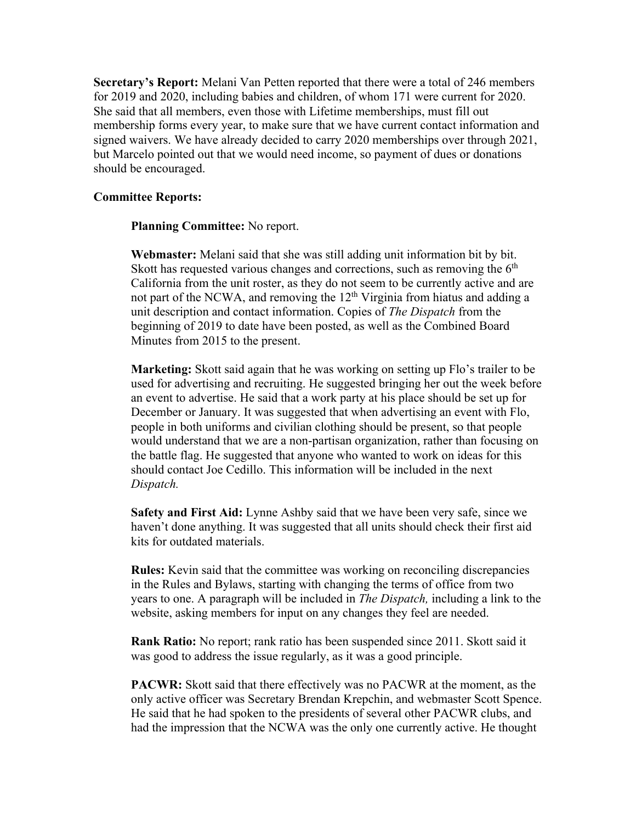**Secretary's Report:** Melani Van Petten reported that there were a total of 246 members for 2019 and 2020, including babies and children, of whom 171 were current for 2020. She said that all members, even those with Lifetime memberships, must fill out membership forms every year, to make sure that we have current contact information and signed waivers. We have already decided to carry 2020 memberships over through 2021, but Marcelo pointed out that we would need income, so payment of dues or donations should be encouraged.

## **Committee Reports:**

**Planning Committee:** No report.

**Webmaster:** Melani said that she was still adding unit information bit by bit. Skott has requested various changes and corrections, such as removing the  $6<sup>th</sup>$ California from the unit roster, as they do not seem to be currently active and are not part of the NCWA, and removing the  $12<sup>th</sup>$  Virginia from hiatus and adding a unit description and contact information. Copies of *The Dispatch* from the beginning of 2019 to date have been posted, as well as the Combined Board Minutes from 2015 to the present.

**Marketing:** Skott said again that he was working on setting up Flo's trailer to be used for advertising and recruiting. He suggested bringing her out the week before an event to advertise. He said that a work party at his place should be set up for December or January. It was suggested that when advertising an event with Flo, people in both uniforms and civilian clothing should be present, so that people would understand that we are a non-partisan organization, rather than focusing on the battle flag. He suggested that anyone who wanted to work on ideas for this should contact Joe Cedillo. This information will be included in the next *Dispatch.*

**Safety and First Aid:** Lynne Ashby said that we have been very safe, since we haven't done anything. It was suggested that all units should check their first aid kits for outdated materials.

**Rules:** Kevin said that the committee was working on reconciling discrepancies in the Rules and Bylaws, starting with changing the terms of office from two years to one. A paragraph will be included in *The Dispatch,* including a link to the website, asking members for input on any changes they feel are needed.

**Rank Ratio:** No report; rank ratio has been suspended since 2011. Skott said it was good to address the issue regularly, as it was a good principle.

**PACWR:** Skott said that there effectively was no PACWR at the moment, as the only active officer was Secretary Brendan Krepchin, and webmaster Scott Spence. He said that he had spoken to the presidents of several other PACWR clubs, and had the impression that the NCWA was the only one currently active. He thought